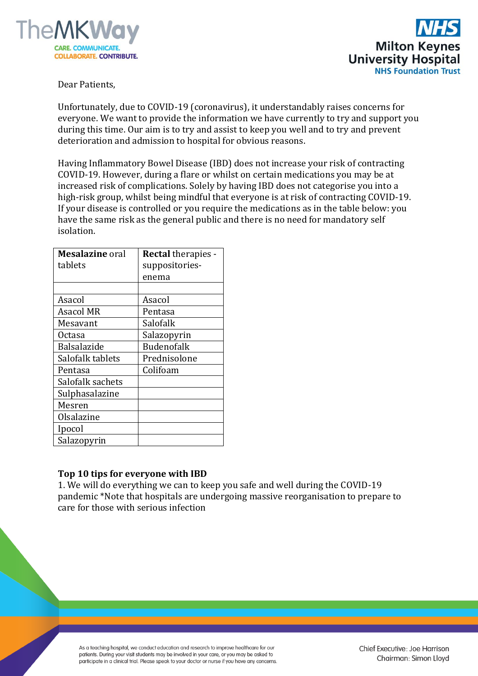



Dear Patients,

Unfortunately, due to COVID-19 (coronavirus), it understandably raises concerns for everyone. We want to provide the information we have currently to try and support you during this time. Our aim is to try and assist to keep you well and to try and prevent deterioration and admission to hospital for obvious reasons.

Having Inflammatory Bowel Disease (IBD) does not increase your risk of contracting COVID-19. However, during a flare or whilst on certain medications you may be at increased risk of complications. Solely by having IBD does not categorise you into a high-risk group, whilst being mindful that everyone is at risk of contracting COVID-19. If your disease is controlled or you require the medications as in the table below: you have the same risk as the general public and there is no need for mandatory self isolation.

| <b>Mesalazine</b> oral | <b>Rectal therapies -</b> |  |
|------------------------|---------------------------|--|
| tablets                | suppositories-            |  |
|                        | enema                     |  |
|                        |                           |  |
| Asacol                 | Asacol                    |  |
| <b>Asacol MR</b>       | Pentasa                   |  |
| Mesavant               | Salofalk                  |  |
| Octasa                 | Salazopyrin               |  |
| Balsalazide            | <b>Budenofalk</b>         |  |
| Salofalk tablets       | Prednisolone              |  |
| Pentasa                | Colifoam                  |  |
| Salofalk sachets       |                           |  |
| Sulphasalazine         |                           |  |
| Mesren                 |                           |  |
| Olsalazine             |                           |  |
| Ipocol                 |                           |  |
| Salazopyrin            |                           |  |

## **Top 10 tips for everyone with IBD**

1. We will do everything we can to keep you safe and well during the COVID-19 pandemic \*Note that hospitals are undergoing massive reorganisation to prepare to care for those with serious infection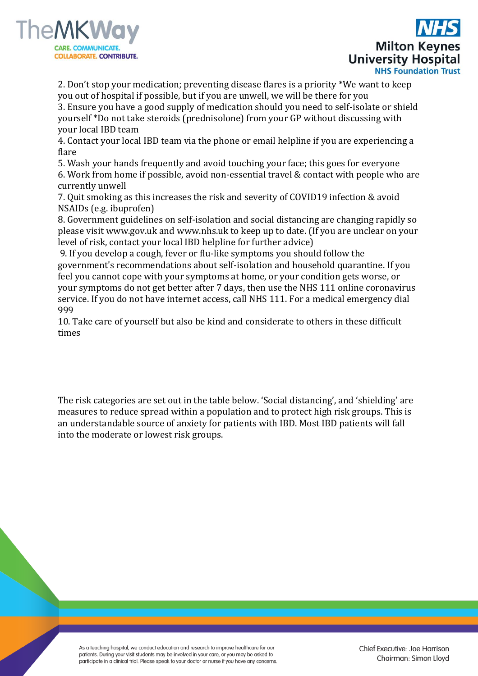



2. Don't stop your medication; preventing disease flares is a priority \*We want to keep you out of hospital if possible, but if you are unwell, we will be there for you

3. Ensure you have a good supply of medication should you need to self-isolate or shield yourself \*Do not take steroids (prednisolone) from your GP without discussing with your local IBD team

4. Contact your local IBD team via the phone or email helpline if you are experiencing a flare

5. Wash your hands frequently and avoid touching your face; this goes for everyone 6. Work from home if possible, avoid non-essential travel & contact with people who are currently unwell

7. Quit smoking as this increases the risk and severity of COVID19 infection & avoid NSAIDs (e.g. ibuprofen)

8. Government guidelines on self-isolation and social distancing are changing rapidly so please visit www.gov.uk and www.nhs.uk to keep up to date. (If you are unclear on your level of risk, contact your local IBD helpline for further advice)

9. If you develop a cough, fever or flu-like symptoms you should follow the government's recommendations about self-isolation and household quarantine. If you feel you cannot cope with your symptoms at home, or your condition gets worse, or your symptoms do not get better after 7 days, then use the NHS 111 online coronavirus service. If you do not have internet access, call NHS 111. For a medical emergency dial 999

10. Take care of yourself but also be kind and considerate to others in these difficult times

The risk categories are set out in the table below. 'Social distancing', and 'shielding' are measures to reduce spread within a population and to protect high risk groups. This is an understandable source of anxiety for patients with IBD. Most IBD patients will fall into the moderate or lowest risk groups.

As a teaching hospital, we conduct education and research to improve healthcare for our patients. During your visit students may be involved in your care, or you may be asked to participate in a clinical trial. Please speak to your doctor or nurse if you have any concerns.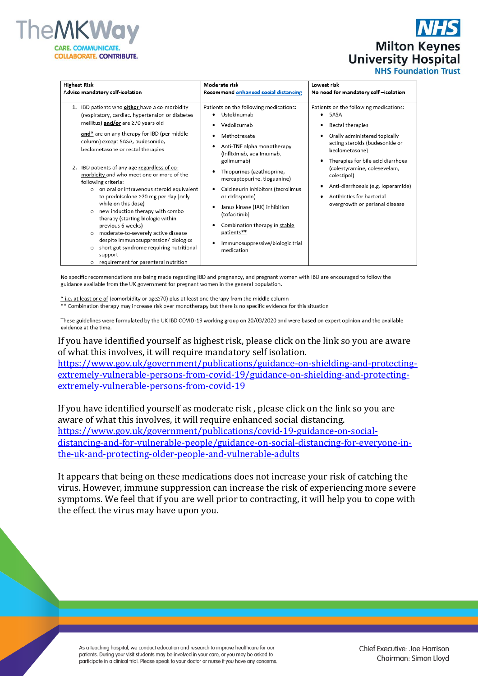

**Milton Keynes University Hospital NHS Foundation Trust** 

| <b>Highest Risk</b>                                                                                                                                                                                                                                                                                                                                                                                                                                                                                                                                                                                                                                                                                                                                                                                                           | Moderate risk                                                                                                                                                                                                                                                                                                                                                                                                                              | Lowest risk                                                                                                                                                                                                                                                                                                                                                   |
|-------------------------------------------------------------------------------------------------------------------------------------------------------------------------------------------------------------------------------------------------------------------------------------------------------------------------------------------------------------------------------------------------------------------------------------------------------------------------------------------------------------------------------------------------------------------------------------------------------------------------------------------------------------------------------------------------------------------------------------------------------------------------------------------------------------------------------|--------------------------------------------------------------------------------------------------------------------------------------------------------------------------------------------------------------------------------------------------------------------------------------------------------------------------------------------------------------------------------------------------------------------------------------------|---------------------------------------------------------------------------------------------------------------------------------------------------------------------------------------------------------------------------------------------------------------------------------------------------------------------------------------------------------------|
| Advise mandatory self-isolation                                                                                                                                                                                                                                                                                                                                                                                                                                                                                                                                                                                                                                                                                                                                                                                               | Recommend enhanced social distancing                                                                                                                                                                                                                                                                                                                                                                                                       | No need for mandatory self -isolation                                                                                                                                                                                                                                                                                                                         |
| IBD patients who <b>either</b> have a co-morbidity<br>1.<br>(respiratory, cardiac, hypertension or diabetes<br>mellitus) and/or are ≥70 years old<br>and* are on any therapy for IBD (per middle<br>column) except 5ASA, budesonide,<br>beclometasone or rectal therapies<br>IBD patients of any age regardless of co-<br>2.<br>morbidity and who meet one or more of the<br>following criteria:<br>o on oral or intravenous steroid equivalent<br>to prednisolone ≥20 mg per day (only<br>while on this dose)<br>o new induction therapy with combo<br>therapy (starting biologic within<br>previous 6 weeks)<br>moderate-to-severely active disease<br>$\circ$<br>despite immunosuppression/ biologics<br>short gut syndrome requiring nutritional<br>$\circ$<br>support<br>requirement for parenteral nutrition<br>$\circ$ | Patients on the following medications:<br>Ustekinumab<br>٠<br>Vedolizumab<br>Methotrexate<br>Anti-TNF alpha monotherapy<br>(infliximab, adalimumab,<br>golimumab)<br>Thiopurines (azathioprine,<br>mercaptopurine, tioguanine)<br>Calcineurin inhibitors (tacrolimus<br>or ciclosporin)<br>Janus kinase (JAK) inhibition<br>(tofacitinib)<br>Combination therapy in stable<br>patients**<br>Immunosuppressive/biologic trial<br>medication | Patients on the following medications:<br>5ASA<br>$\bullet$<br>Rectal therapies<br>Orally administered topically<br>acting steroids (budesonide or<br>beclometasone)<br>Therapies for bile acid diarrhoea<br>(colestyramine, colesevelam,<br>colestipol)<br>Anti-diarrhoeals (e.g. loperamide)<br>Antibiotics for bacterial<br>overgrowth or perianal disease |

No specific recommendations are being made regarding IBD and pregnancy, and pregnant women with IBD are encouraged to follow the guidance available from the UK government for pregnant women in the general population.

\* i.e. at least one of (comorbidity or age≥70) plus at least one therapy from the middle column

\*\* Combination therapy may increase risk over monotherapy but there is no specific evidence for this situation

These guidelines were formulated by the UK IBD COVID-19 working group on 20/03/2020 and were based on expert opinion and the available evidence at the time.

If you have identified yourself as highest risk, please click on the link so you are aware of what this involves, it will require mandatory self isolation.

[https://www.gov.uk/government/publications/guidance-on-shielding-and-protecting](https://www.gov.uk/government/publications/guidance-on-shielding-and-protecting-extremely-vulnerable-persons-from-covid-19/guidance-on-shielding-and-protecting-extremely-vulnerable-persons-from-covid-19)[extremely-vulnerable-persons-from-covid-19/guidance-on-shielding-and-protecting](https://www.gov.uk/government/publications/guidance-on-shielding-and-protecting-extremely-vulnerable-persons-from-covid-19/guidance-on-shielding-and-protecting-extremely-vulnerable-persons-from-covid-19)[extremely-vulnerable-persons-from-covid-19](https://www.gov.uk/government/publications/guidance-on-shielding-and-protecting-extremely-vulnerable-persons-from-covid-19/guidance-on-shielding-and-protecting-extremely-vulnerable-persons-from-covid-19)

If you have identified yourself as moderate risk , please click on the link so you are aware of what this involves, it will require enhanced social distancing. [https://www.gov.uk/government/publications/covid-19-guidance-on-social](https://www.gov.uk/government/publications/covid-19-guidance-on-social-distancing-and-for-vulnerable-people/guidance-on-social-distancing-for-everyone-in-the-uk-and-protecting-older-people-and-vulnerable-adults)[distancing-and-for-vulnerable-people/guidance-on-social-distancing-for-everyone-in](https://www.gov.uk/government/publications/covid-19-guidance-on-social-distancing-and-for-vulnerable-people/guidance-on-social-distancing-for-everyone-in-the-uk-and-protecting-older-people-and-vulnerable-adults)[the-uk-and-protecting-older-people-and-vulnerable-adults](https://www.gov.uk/government/publications/covid-19-guidance-on-social-distancing-and-for-vulnerable-people/guidance-on-social-distancing-for-everyone-in-the-uk-and-protecting-older-people-and-vulnerable-adults)

It appears that being on these medications does not increase your risk of catching the virus. However, immune suppression can increase the risk of experiencing more severe symptoms. We feel that if you are well prior to contracting, it will help you to cope with the effect the virus may have upon you.

As a teaching hospital, we conduct education and research to improve healthcare for our patients. During your visit students may be involved in your care, or you may be asked to participate in a clinical trial. Please speak to your doctor or nurse if you have any concerns. Chief Executive: Joe Harrison Chairman: Simon Lloyd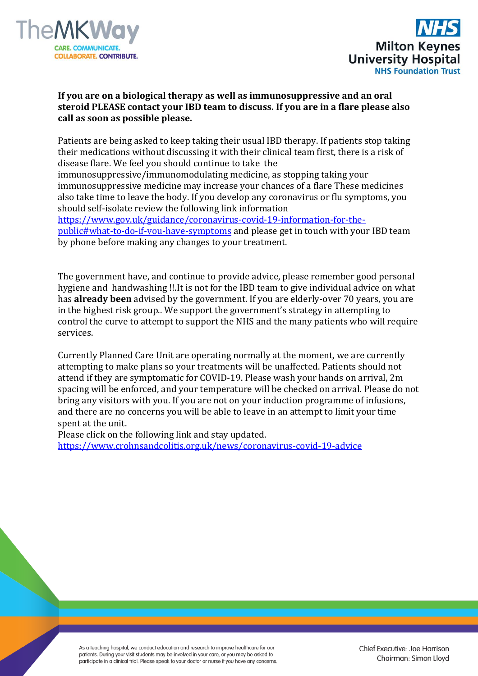



## **If you are on a biological therapy as well as immunosuppressive and an oral steroid PLEASE contact your IBD team to discuss. If you are in a flare please also call as soon as possible please.**

Patients are being asked to keep taking their usual IBD therapy. If patients stop taking their medications without discussing it with their clinical team first, there is a risk of disease flare. We feel you should continue to take the immunosuppressive/immunomodulating medicine, as stopping taking your immunosuppressive medicine may increase your chances of a flare These medicines also take time to leave the body. If you develop any coronavirus or flu symptoms, you should self-isolate review the following link information [https://www.gov.uk/guidance/coronavirus-covid-19-information-for-the](https://www.gov.uk/guidance/coronavirus-covid-19-information-for-the-public#what-to-do-if-you-have-symptoms)[public#what-to-do-if-you-have-symptoms](https://www.gov.uk/guidance/coronavirus-covid-19-information-for-the-public#what-to-do-if-you-have-symptoms) and please get in touch with your IBD team by phone before making any changes to your treatment.

The government have, and continue to provide advice, please remember good personal hygiene and handwashing !!.It is not for the IBD team to give individual advice on what has **already been** advised by the government. If you are elderly-over 70 years, you are in the highest risk group.. We support the government's strategy in attempting to control the curve to attempt to support the NHS and the many patients who will require services.

Currently Planned Care Unit are operating normally at the moment, we are currently attempting to make plans so your treatments will be unaffected. Patients should not attend if they are symptomatic for COVID-19. Please wash your hands on arrival, 2m spacing will be enforced, and your temperature will be checked on arrival. Please do not bring any visitors with you. If you are not on your induction programme of infusions, and there are no concerns you will be able to leave in an attempt to limit your time spent at the unit.

Please click on the following link and stay updated.

[https://www.crohnsandcolitis.org.uk/news/coronavirus-covid-19-advice](https://gbr01.safelinks.protection.outlook.com/?url=https%3A%2F%2Fwww.crohnsandcolitis.org.uk%2Fnews%2Fcoronavirus-covid-19-advice&data=02%7C01%7CLianne.Lewis%40mkuh.nhs.uk%7C38d6a1b98dd84fe98f1908d7cb1446c1%7Ce96dd0a15d474a949e4a5c1056daa82c%7C0%7C0%7C637201160263338526&sdata=rg8fy4GwZkd%2BEvM6osAsu6T4XrNq1PDDgWIXuQzCrYE%3D&reserved=0)

As a teaching hospital, we conduct education and research to improve healthcare for our patients. During your visit students may be involved in your care, or you may be asked to participate in a clinical trial. Please speak to your doctor or nurse if you have any concerns.